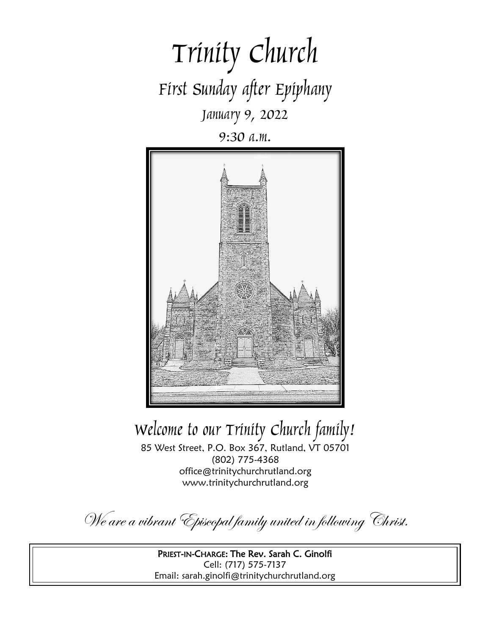

9:30 a.m.



Welcome to our Trinity Church family! 85 West Street, P.O. Box 367, Rutland, VT 05701 (802) 775-4368 office@trinitychurchrutland.org www.trinitychurchrutland.org

We are a vibrant Episcopal family united in following Christ.

PRIEST-IN-CHARGE: The Rev. Sarah C. Ginolfi Cell: (717) 575-7137 Email: sarah.ginolfi@trinitychurchrutland.org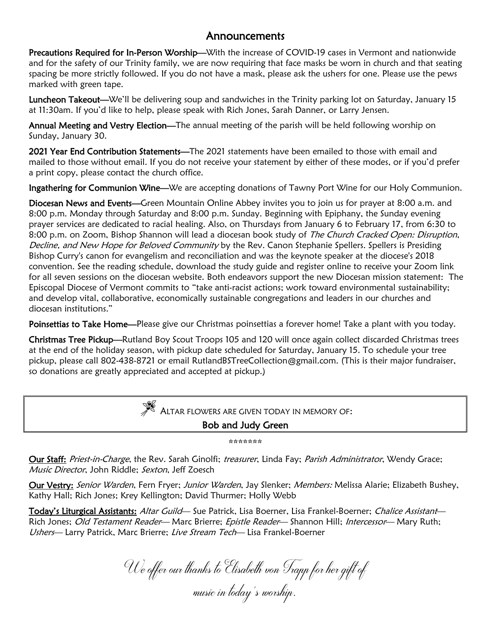# Announcements

Precautions Required for In-Person Worship—With the increase of COVID-19 cases in Vermont and nationwide and for the safety of our Trinity family, we are now requiring that face masks be worn in church and that seating spacing be more strictly followed. If you do not have a mask, please ask the ushers for one. Please use the pews marked with green tape.

Luncheon Takeout—We'll be delivering soup and sandwiches in the Trinity parking lot on Saturday, January 15 at 11:30am. If you'd like to help, please speak with Rich Jones, Sarah Danner, or Larry Jensen.

Annual Meeting and Vestry Election—The annual meeting of the parish will be held following worship on Sunday, January 30.

2021 Year End Contribution Statements-The 2021 statements have been emailed to those with email and mailed to those without email. If you do not receive your statement by either of these modes, or if you'd prefer a print copy, please contact the church office.

Ingathering for Communion Wine—We are accepting donations of Tawny Port Wine for our Holy Communion.

Diocesan News and Events—Green Mountain Online Abbey invites you to join us for prayer at 8:00 a.m. and 8:00 p.m. Monday through Saturday and 8:00 p.m. Sunday. Beginning with Epiphany, the Sunday evening prayer services are dedicated to racial healing. Also, on Thursdays from January 6 to February 17, from 6:30 to 8:00 p.m. on Zoom, Bishop Shannon will lead a diocesan book study of The Church Cracked Open: Disruption, Decline, and New Hope for Beloved Community by the Rev. Canon Stephanie Spellers. Spellers is Presiding Bishop Curry's canon for evangelism and reconciliation and was the keynote speaker at the diocese's 2018 convention. See the reading schedule, download the study guide and register online to receive your Zoom link for all seven sessions on the diocesan website. Both endeavors support the new Diocesan mission statement: The Episcopal Diocese of Vermont commits to "take anti-racist actions; work toward environmental sustainability; and develop vital, collaborative, economically sustainable congregations and leaders in our churches and diocesan institutions."

Poinsettias to Take Home—Please give our Christmas poinsettias a forever home! Take a plant with you today.

Christmas Tree Pickup—Rutland Boy Scout Troops 105 and 120 will once again collect discarded Christmas trees at the end of the holiday season, with pickup date scheduled for Saturday, January 15. To schedule your tree pickup, please call 802-438-8721 or email RutlandBSTreeCollection@gmail.com. (This is their major fundraiser, so donations are greatly appreciated and accepted at pickup.)



Bob and Judy Green

\*\*\*\*\*\*\*

Our Staff: Priest-in-Charge, the Rev. Sarah Ginolfi; treasurer, Linda Fay; Parish Administrator, Wendy Grace; Music Director, John Riddle: Sexton, Jeff Zoesch

Our Vestry: Senior Warden, Fern Fryer; Junior Warden, Jay Slenker; Members: Melissa Alarie; Elizabeth Bushey, Kathy Hall; Rich Jones; Krey Kellington; David Thurmer; Holly Webb

Today's Liturgical Assistants: Altar Guild-Sue Patrick, Lisa Boerner, Lisa Frankel-Boerner; Chalice Assistant-Rich Jones; Old Testament Reader— Marc Brierre; Epistle Reader— Shannon Hill; Intercessor— Mary Ruth; Ushers— Larry Patrick, Marc Brierre; Live Stream Tech— Lisa Frankel-Boerner

We offer our thanks to Elisabeth von Trapp for her gift of music in today's worship.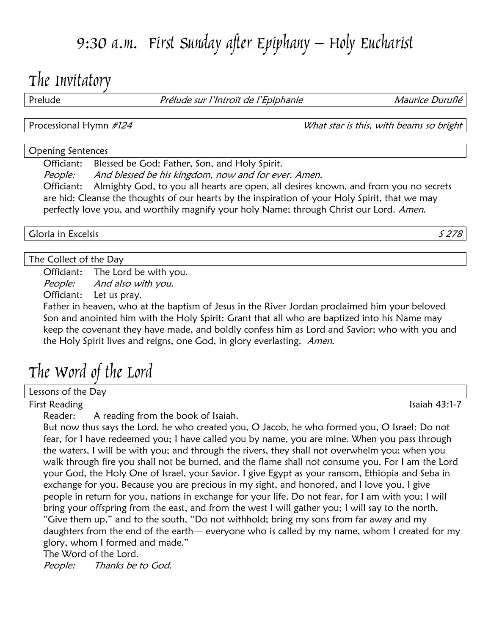# 9:30 a.m. First Sunday after Epiphany – Holy Eucharist

# The Invitatory

Prelude **Europe anno 18 anni 19 anni 19 anni 19 anni 19 anni 19 anni 19 anni 19 anni 19 anni 19 anni 19 anni 19** anni 19 anni 19 anni 19 anni 19 anni 19 anni 19 anni 19 anni 19 anni 19 anni 19 anni 19 anni 19 anni 19 anni

Processional Hymn #124 Methods and the What star is this, with beams so bright

#### Opening Sentences

Officiant: Blessed be God: Father, Son, and Holy Spirit.

People: And blessed be his kingdom, now and for ever. Amen.

Officiant: Almighty God, to you all hearts are open, all desires known, and from you no secrets are hid: Cleanse the thoughts of our hearts by the inspiration of your Holy Spirit, that we may perfectly love you, and worthily magnify your holy Name; through Christ our Lord. Amen.

Gloria in Excelsis  $s$ 

#### The Collect of the Day

Officiant: The Lord be with you.

People: And also with you.

Officiant: Let us pray.

Father in heaven, who at the baptism of Jesus in the River Jordan proclaimed him your beloved Son and anointed him with the Holy Spirit: Grant that all who are baptized into his Name may keep the covenant they have made, and boldly confess him as Lord and Savior; who with you and the Holy Spirit lives and reigns, one God, in glory everlasting. Amen.

# The Word of the Lord

Lessons of the Day

First Reading Isaiah 43:1-7

Reader: A reading from the book of Isaiah.

But now thus says the Lord, he who created you, O Jacob, he who formed you, O Israel: Do not fear, for I have redeemed you; I have called you by name, you are mine. When you pass through the waters, I will be with you; and through the rivers, they shall not overwhelm you; when you walk through fire you shall not be burned, and the flame shall not consume you. For I am the Lord your God, the Holy One of Israel, your Savior. I give Egypt as your ransom, Ethiopia and Seba in exchange for you. Because you are precious in my sight, and honored, and I love you, I give people in return for you, nations in exchange for your life. Do not fear, for I am with you; I will bring your offspring from the east, and from the west I will gather you; I will say to the north, "Give them up," and to the south, "Do not withhold; bring my sons from far away and my daughters from the end of the earth— everyone who is called by my name, whom I created for my glory, whom I formed and made."

The Word of the Lord.

People: Thanks be to God.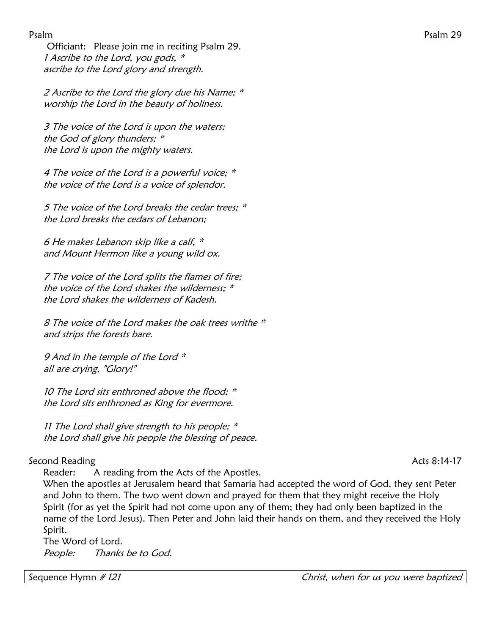Officiant: Please join me in reciting Psalm 29. 1 Ascribe to the Lord, you gods, \* ascribe to the Lord glory and strength.

2 Ascribe to the Lord the glory due his Name; \* worship the Lord in the beauty of holiness.

3 The voice of the Lord is upon the waters; the God of glory thunders; \* the Lord is upon the mighty waters.

4 The voice of the Lord is a powerful voice; \* the voice of the Lord is a voice of splendor.

5 The voice of the Lord breaks the cedar trees; \* the Lord breaks the cedars of Lebanon;

6 He makes Lebanon skip like a calf, \* and Mount Hermon like a young wild ox.

7 The voice of the Lord splits the flames of fire; the voice of the Lord shakes the wilderness; \* the Lord shakes the wilderness of Kadesh.

8 The voice of the Lord makes the oak trees writhe \* and strips the forests bare.

9 And in the temple of the Lord  $*$ all are crying, "Glory!"

10 The Lord sits enthroned above the flood; \* the Lord sits enthroned as King for evermore.

11 The Lord shall give strength to his people; \* the Lord shall give his people the blessing of peace.

#### Second Reading Acts 8:14-17

Reader: A reading from the Acts of the Apostles.

When the apostles at Jerusalem heard that Samaria had accepted the word of God, they sent Peter and John to them. The two went down and prayed for them that they might receive the Holy Spirit (for as yet the Spirit had not come upon any of them; they had only been baptized in the name of the Lord Jesus). Then Peter and John laid their hands on them, and they received the Holy Spirit.

The Word of Lord. People: Thanks be to God.

Sequence Hymn #121 Sequence Hymn #121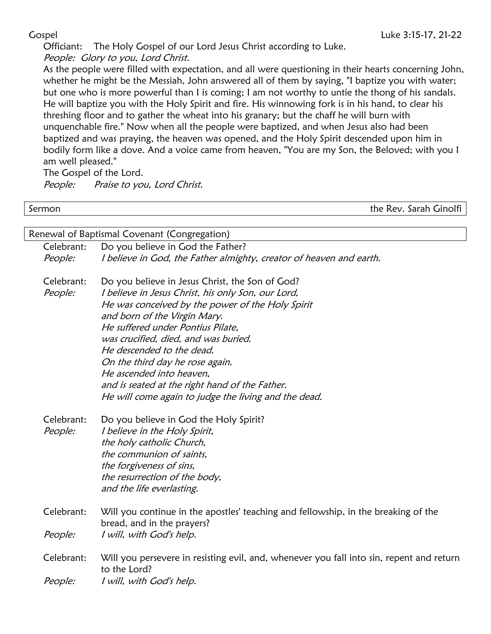Officiant: The Holy Gospel of our Lord Jesus Christ according to Luke.

#### People: Glory to you, Lord Christ.

As the people were filled with expectation, and all were questioning in their hearts concerning John, whether he might be the Messiah, John answered all of them by saying, "I baptize you with water; but one who is more powerful than I is coming; I am not worthy to untie the thong of his sandals. He will baptize you with the Holy Spirit and fire. His winnowing fork is in his hand, to clear his threshing floor and to gather the wheat into his granary; but the chaff he will burn with unquenchable fire." Now when all the people were baptized, and when Jesus also had been baptized and was praying, the heaven was opened, and the Holy Spirit descended upon him in bodily form like a dove. And a voice came from heaven, "You are my Son, the Beloved; with you I am well pleased."

The Gospel of the Lord.

People: Praise to you, Lord Christ.

| Sermon | $\mathbf{r}$<br>sarahl<br>unolt <sup>,</sup><br>*ne.<br>-Rev |
|--------|--------------------------------------------------------------|
|        |                                                              |

|            | Renewal of Baptismal Covenant (Congregation)                                                             |
|------------|----------------------------------------------------------------------------------------------------------|
| Celebrant: | Do you believe in God the Father?                                                                        |
| People:    | I believe in God, the Father almighty, creator of heaven and earth.                                      |
| Celebrant: | Do you believe in Jesus Christ, the Son of God?                                                          |
| People:    | I believe in Jesus Christ, his only Son, our Lord,                                                       |
|            | He was conceived by the power of the Holy Spirit                                                         |
|            | and born of the Virgin Mary.                                                                             |
|            | He suffered under Pontius Pilate,                                                                        |
|            | was crucified, died, and was buried.                                                                     |
|            | He descended to the dead.                                                                                |
|            | On the third day he rose again.                                                                          |
|            | He ascended into heaven,                                                                                 |
|            | and is seated at the right hand of the Father.                                                           |
|            | He will come again to judge the living and the dead.                                                     |
| Celebrant: | Do you believe in God the Holy Spirit?                                                                   |
| People:    | I believe in the Holy Spirit,                                                                            |
|            | the holy catholic Church,                                                                                |
|            | the communion of saints,                                                                                 |
|            | the forgiveness of sins,                                                                                 |
|            | the resurrection of the body,                                                                            |
|            | and the life everlasting.                                                                                |
| Celebrant: | Will you continue in the apostles' teaching and fellowship, in the breaking of the                       |
|            | bread, and in the prayers?                                                                               |
| People:    | I will, with God's help.                                                                                 |
| Celebrant: | Will you persevere in resisting evil, and, whenever you fall into sin, repent and return<br>to the Lord? |
| People:    | I will, with God's help.                                                                                 |
|            |                                                                                                          |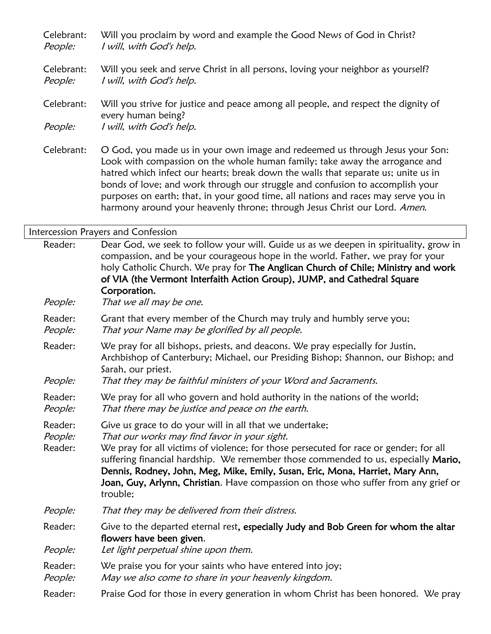Celebrant: Will you proclaim by word and example the Good News of God in Christ? People: I will, with God's help.

Celebrant: Will you seek and serve Christ in all persons, loving your neighbor as yourself? People: I will, with God's help.

Celebrant: Will you strive for justice and peace among all people, and respect the dignity of every human being? People: I will, with God's help.

Celebrant: O God, you made us in your own image and redeemed us through Jesus your Son: Look with compassion on the whole human family; take away the arrogance and hatred which infect our hearts; break down the walls that separate us; unite us in bonds of love; and work through our struggle and confusion to accomplish your purposes on earth; that, in your good time, all nations and races may serve you in harmony around your heavenly throne; through Jesus Christ our Lord. Amen.

#### Intercession Prayers and Confession

| Reader:                       | Dear God, we seek to follow your will. Guide us as we deepen in spirituality, grow in<br>compassion, and be your courageous hope in the world. Father, we pray for your<br>holy Catholic Church. We pray for The Anglican Church of Chile; Ministry and work<br>of VIA (the Vermont Interfaith Action Group), JUMP, and Cathedral Square<br>Corporation.                                                                                                                   |
|-------------------------------|----------------------------------------------------------------------------------------------------------------------------------------------------------------------------------------------------------------------------------------------------------------------------------------------------------------------------------------------------------------------------------------------------------------------------------------------------------------------------|
| People:                       | That we all may be one.                                                                                                                                                                                                                                                                                                                                                                                                                                                    |
| Reader:<br>People:            | Grant that every member of the Church may truly and humbly serve you;<br>That your Name may be glorified by all people.                                                                                                                                                                                                                                                                                                                                                    |
| Reader:                       | We pray for all bishops, priests, and deacons. We pray especially for Justin,<br>Archbishop of Canterbury; Michael, our Presiding Bishop; Shannon, our Bishop; and<br>Sarah, our priest.                                                                                                                                                                                                                                                                                   |
| People:                       | That they may be faithful ministers of your Word and Sacraments.                                                                                                                                                                                                                                                                                                                                                                                                           |
| Reader:<br>People:            | We pray for all who govern and hold authority in the nations of the world;<br>That there may be justice and peace on the earth.                                                                                                                                                                                                                                                                                                                                            |
| Reader:<br>People:<br>Reader: | Give us grace to do your will in all that we undertake;<br>That our works may find favor in your sight.<br>We pray for all victims of violence; for those persecuted for race or gender; for all<br>suffering financial hardship. We remember those commended to us, especially Mario,<br>Dennis, Rodney, John, Meg, Mike, Emily, Susan, Eric, Mona, Harriet, Mary Ann,<br>Joan, Guy, Arlynn, Christian. Have compassion on those who suffer from any grief or<br>trouble; |
| People:                       | That they may be delivered from their distress.                                                                                                                                                                                                                                                                                                                                                                                                                            |
| Reader:                       | Give to the departed eternal rest, especially Judy and Bob Green for whom the altar<br>flowers have been given.                                                                                                                                                                                                                                                                                                                                                            |
| People:                       | Let light perpetual shine upon them.                                                                                                                                                                                                                                                                                                                                                                                                                                       |
| Reader:<br>People:            | We praise you for your saints who have entered into joy;<br>May we also come to share in your heavenly kingdom.                                                                                                                                                                                                                                                                                                                                                            |
| Reader:                       | Praise God for those in every generation in whom Christ has been honored. We pray                                                                                                                                                                                                                                                                                                                                                                                          |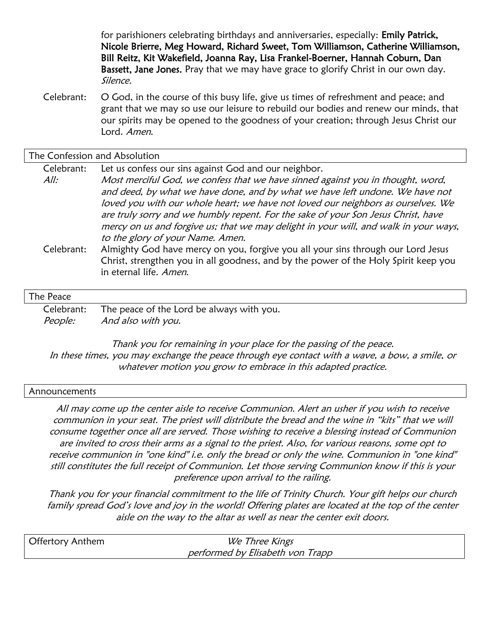for parishioners celebrating birthdays and anniversaries, especially: Emily Patrick, Nicole Brierre, Meg Howard, Richard Sweet, Tom Williamson, Catherine Williamson, Bill Reitz, Kit Wakefield, Joanna Ray, Lisa Frankel-Boerner, Hannah Coburn, Dan Bassett, Jane Jones. Pray that we may have grace to glorify Christ in our own day. Silence.

Celebrant: O God, in the course of this busy life, give us times of refreshment and peace; and grant that we may so use our leisure to rebuild our bodies and renew our minds, that our spirits may be opened to the goodness of your creation; through Jesus Christ our Lord. Amen.

The Confession and Absolution

| Celebrant: | Let us confess our sins against God and our neighbor.                                |
|------------|--------------------------------------------------------------------------------------|
| All:       | Most merciful God, we confess that we have sinned against you in thought, word,      |
|            | and deed, by what we have done, and by what we have left undone. We have not         |
|            | loved you with our whole heart; we have not loved our neighbors as ourselves. We     |
|            | are truly sorry and we humbly repent. For the sake of your Son Jesus Christ, have    |
|            | mercy on us and forgive us; that we may delight in your will, and walk in your ways, |
|            | to the glory of your Name. Amen.                                                     |
| Celebrant: | Almighty God have mercy on you, forgive you all your sins through our Lord Jesus     |
|            | Christ, strengthen you in all goodness, and by the power of the Holy Spirit keep you |

### The Peace

Celebrant: The peace of the Lord be always with you. People: And also with you.

in eternal life. Amen.

Thank you for remaining in your place for the passing of the peace. In these times, you may exchange the peace through eye contact with a wave, a bow, a smile, or whatever motion you grow to embrace in this adapted practice.

#### **Announcements**

All may come up the center aisle to receive Communion. Alert an usher if you wish to receive communion in your seat. The priest will distribute the bread and the wine in "kits" that we will consume together once all are served. Those wishing to receive a blessing instead of Communion are invited to cross their arms as a signal to the priest. Also, for various reasons, some opt to receive communion in "one kind" i.e. only the bread or only the wine. Communion in "one kind" still constitutes the full receipt of Communion. Let those serving Communion know if this is your preference upon arrival to the railing.

Thank you for your financial commitment to the life of Trinity Church. Your gift helps our church family spread God's love and joy in the world! Offering plates are located at the top of the center aisle on the way to the altar as well as near the center exit doors.

| <b>Offertory Anthem</b> | We Three Kings                   |  |
|-------------------------|----------------------------------|--|
|                         | performed by Elisabeth von Trapp |  |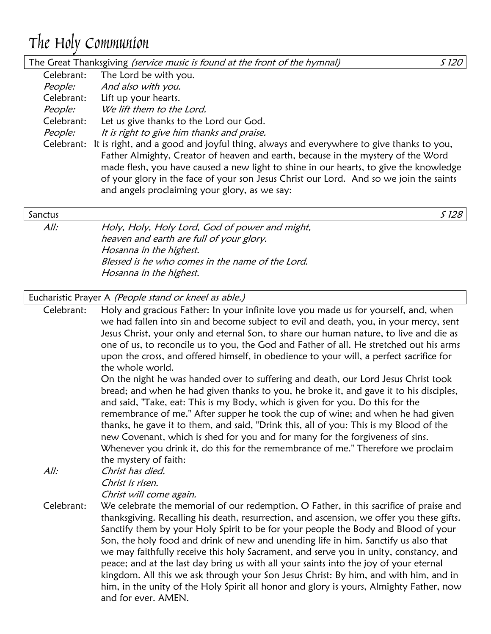# The Holy Communion

The Great Thanksgiving *(service music is found at the front of the hymnal)* S 120 Celebrant: The Lord be with you. People: And also with you. Celebrant: Lift up your hearts. People: We lift them to the Lord. Celebrant: Let us give thanks to the Lord our God. People: It is right to give him thanks and praise. Celebrant: It is right, and a good and joyful thing, always and everywhere to give thanks to you, Father Almighty, Creator of heaven and earth, because in the mystery of the Word made flesh, you have caused a new light to shine in our hearts, to give the knowledge of your glory in the face of your son Jesus Christ our Lord. And so we join the saints and angels proclaiming your glory, as we say:

### Sanctus  $S$  128

All: Holy, Holy, Holy Lord, God of power and might, heaven and earth are full of your glory. Hosanna in the highest. Blessed is he who comes in the name of the Lord. Hosanna in the highest.

### Eucharistic Prayer A (People stand or kneel as able.)

Celebrant: Holy and gracious Father: In your infinite love you made us for yourself, and, when we had fallen into sin and become subject to evil and death, you, in your mercy, sent Jesus Christ, your only and eternal Son, to share our human nature, to live and die as one of us, to reconcile us to you, the God and Father of all. He stretched out his arms upon the cross, and offered himself, in obedience to your will, a perfect sacrifice for the whole world.

On the night he was handed over to suffering and death, our Lord Jesus Christ took bread; and when he had given thanks to you, he broke it, and gave it to his disciples, and said, "Take, eat: This is my Body, which is given for you. Do this for the remembrance of me." After supper he took the cup of wine; and when he had given thanks, he gave it to them, and said, "Drink this, all of you: This is my Blood of the new Covenant, which is shed for you and for many for the forgiveness of sins. Whenever you drink it, do this for the remembrance of me." Therefore we proclaim the mystery of faith:

All: Christ has died. Christ is risen.

Christ will come again.

Celebrant: We celebrate the memorial of our redemption, O Father, in this sacrifice of praise and thanksgiving. Recalling his death, resurrection, and ascension, we offer you these gifts. Sanctify them by your Holy Spirit to be for your people the Body and Blood of your Son, the holy food and drink of new and unending life in him. Sanctify us also that we may faithfully receive this holy Sacrament, and serve you in unity, constancy, and peace; and at the last day bring us with all your saints into the joy of your eternal kingdom. All this we ask through your Son Jesus Christ: By him, and with him, and in him, in the unity of the Holy Spirit all honor and glory is yours, Almighty Father, now and for ever. AMEN.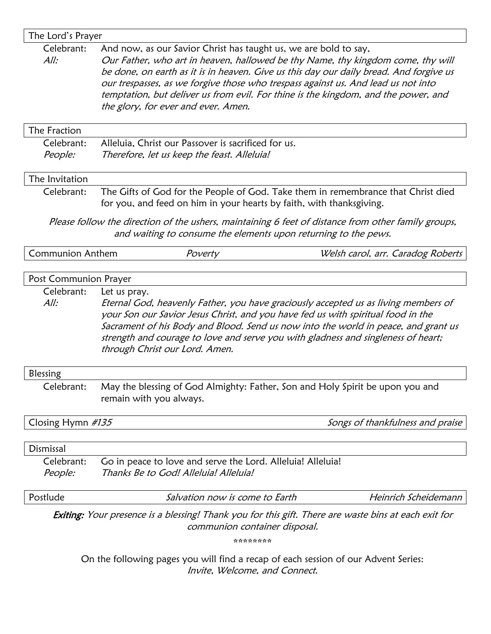| The Lord's Prayer |                                                                                                                                                                                                                                                                                                                                                                                             |  |
|-------------------|---------------------------------------------------------------------------------------------------------------------------------------------------------------------------------------------------------------------------------------------------------------------------------------------------------------------------------------------------------------------------------------------|--|
| Celebrant:        | And now, as our Savior Christ has taught us, we are bold to say,                                                                                                                                                                                                                                                                                                                            |  |
| All:              | Our Father, who art in heaven, hallowed be thy Name, thy kingdom come, thy will<br>be done, on earth as it is in heaven. Give us this day our daily bread. And forgive us<br>our trespasses, as we forgive those who trespass against us. And lead us not into<br>temptation, but deliver us from evil. For thine is the kingdom, and the power, and<br>the glory, for ever and ever. Amen. |  |
| The Fraction      |                                                                                                                                                                                                                                                                                                                                                                                             |  |
| Celebrant:        | Alleluia, Christ our Passover is sacrificed for us.                                                                                                                                                                                                                                                                                                                                         |  |
| People:           | Therefore, let us keep the feast. Alleluia!                                                                                                                                                                                                                                                                                                                                                 |  |
| The Invitation    |                                                                                                                                                                                                                                                                                                                                                                                             |  |
| C <sub>0</sub>    | The Cifts of Cod fou the Deaple of Cod. Teles them in usmambuones that Chuist died                                                                                                                                                                                                                                                                                                          |  |

Celebrant: The Gifts of God for the People of God. Take them in remembrance that Christ died for you, and feed on him in your hearts by faith, with thanksgiving.

Please follow the direction of the ushers, maintaining 6 feet of distance from other family groups, and waiting to consume the elements upon returning to the pews.

| Welsh carol, arr. Caradog Roberts '<br>Communion Anthem<br>UVer†∶ |
|-------------------------------------------------------------------|
|-------------------------------------------------------------------|

Post Communion Prayer

Celebrant: Let us pray. All: Eternal God, heavenly Father, you have graciously accepted us as living members of your Son our Savior Jesus Christ, and you have fed us with spiritual food in the Sacrament of his Body and Blood. Send us now into the world in peace, and grant us strength and courage to love and serve you with gladness and singleness of heart; through Christ our Lord. Amen.

#### Blessing

Celebrant: May the blessing of God Almighty: Father, Son and Holy Spirit be upon you and remain with you always.

Closing Hymn #135 Songs of thankfulness and praise

#### Dismissal

|                | Celebrant: Go in peace to love and serve the Lord. Alleluia! Alleluia! |
|----------------|------------------------------------------------------------------------|
| <i>People:</i> | Thanks Be to God! Alleluia! Alleluia!                                  |

Postlude Salvation now is come to Earth Heinrich Scheidemann

Exiting: Your presence is a blessing! Thank you for this gift. There are waste bins at each exit for communion container disposal.

\*\*\*\*\*\*\*\*\*\*\*\*\*\*\*\*

On the following pages you will find a recap of each session of our Advent Series: Invite, Welcome, and Connect.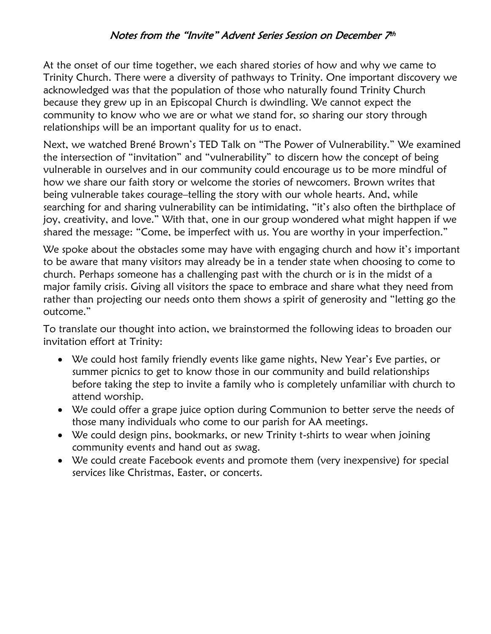# Notes from the "Invite" Advent Series Session on December 7th

At the onset of our time together, we each shared stories of how and why we came to Trinity Church. There were a diversity of pathways to Trinity. One important discovery we acknowledged was that the population of those who naturally found Trinity Church because they grew up in an Episcopal Church is dwindling. We cannot expect the community to know who we are or what we stand for, so sharing our story through relationships will be an important quality for us to enact.

Next, we watched Brené Brown's TED Talk on "The Power of Vulnerability." We examined the intersection of "invitation" and "vulnerability" to discern how the concept of being vulnerable in ourselves and in our community could encourage us to be more mindful of how we share our faith story or welcome the stories of newcomers. Brown writes that being vulnerable takes courage–telling the story with our whole hearts. And, while searching for and sharing vulnerability can be intimidating, "it's also often the birthplace of joy, creativity, and love." With that, one in our group wondered what might happen if we shared the message: "Come, be imperfect with us. You are worthy in your imperfection."

We spoke about the obstacles some may have with engaging church and how it's important to be aware that many visitors may already be in a tender state when choosing to come to church. Perhaps someone has a challenging past with the church or is in the midst of a major family crisis. Giving all visitors the space to embrace and share what they need from rather than projecting our needs onto them shows a spirit of generosity and "letting go the outcome."

To translate our thought into action, we brainstormed the following ideas to broaden our invitation effort at Trinity:

- We could host family friendly events like game nights, New Year's Eve parties, or summer picnics to get to know those in our community and build relationships before taking the step to invite a family who is completely unfamiliar with church to attend worship.
- We could offer a grape juice option during Communion to better serve the needs of those many individuals who come to our parish for AA meetings.
- We could design pins, bookmarks, or new Trinity t-shirts to wear when joining community events and hand out as swag.
- We could create Facebook events and promote them (very inexpensive) for special services like Christmas, Easter, or concerts.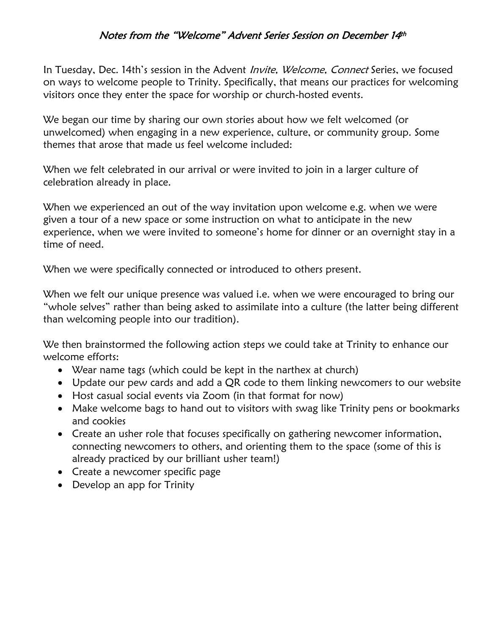# Notes from the "Welcome" Advent Series Session on December 14th

In Tuesday, Dec. 14th's session in the Advent *Invite, Welcome, Connect* Series, we focused on ways to welcome people to Trinity. Specifically, that means our practices for welcoming visitors once they enter the space for worship or church-hosted events.

We began our time by sharing our own stories about how we felt welcomed (or unwelcomed) when engaging in a new experience, culture, or community group. Some themes that arose that made us feel welcome included:

When we felt celebrated in our arrival or were invited to join in a larger culture of celebration already in place.

When we experienced an out of the way invitation upon welcome e.g. when we were given a tour of a new space or some instruction on what to anticipate in the new experience, when we were invited to someone's home for dinner or an overnight stay in a time of need.

When we were specifically connected or introduced to others present.

When we felt our unique presence was valued i.e. when we were encouraged to bring our "whole selves" rather than being asked to assimilate into a culture (the latter being different than welcoming people into our tradition).

We then brainstormed the following action steps we could take at Trinity to enhance our welcome efforts:

- Wear name tags (which could be kept in the narthex at church)
- Update our pew cards and add a QR code to them linking newcomers to our website
- Host casual social events via Zoom (in that format for now)
- Make welcome bags to hand out to visitors with swag like Trinity pens or bookmarks and cookies
- Create an usher role that focuses specifically on gathering newcomer information, connecting newcomers to others, and orienting them to the space (some of this is already practiced by our brilliant usher team!)
- Create a newcomer specific page
- Develop an app for Trinity